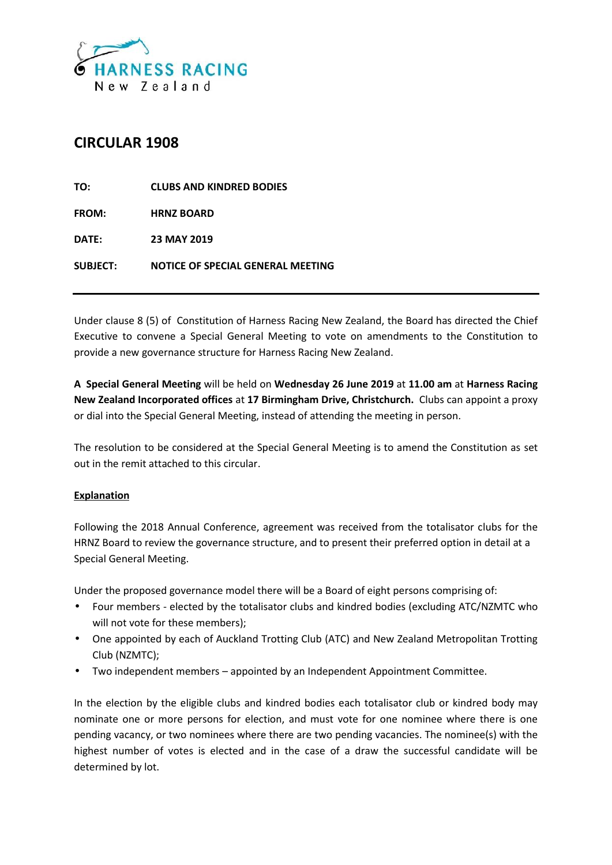

# **CIRCULAR 1908**

| TO:             | <b>CLUBS AND KINDRED BODIES</b>   |
|-----------------|-----------------------------------|
| <b>FROM:</b>    | <b>HRNZ BOARD</b>                 |
| DATE:           | <b>23 MAY 2019</b>                |
| <b>SUBJECT:</b> | NOTICE OF SPECIAL GENERAL MEETING |

Under clause 8 (5) of Constitution of Harness Racing New Zealand, the Board has directed the Chief Executive to convene a Special General Meeting to vote on amendments to the Constitution to provide a new governance structure for Harness Racing New Zealand.

**A Special General Meeting** will be held on **Wednesday 26 June 2019** at **11.00 am** at **Harness Racing New Zealand Incorporated offices** at **17 Birmingham Drive, Christchurch.** Clubs can appoint a proxy or dial into the Special General Meeting, instead of attending the meeting in person.

The resolution to be considered at the Special General Meeting is to amend the Constitution as set out in the remit attached to this circular.

## **Explanation**

Following the 2018 Annual Conference, agreement was received from the totalisator clubs for the HRNZ Board to review the governance structure, and to present their preferred option in detail at a Special General Meeting.

Under the proposed governance model there will be a Board of eight persons comprising of:

- Four members elected by the totalisator clubs and kindred bodies (excluding ATC/NZMTC who will not vote for these members);
- One appointed by each of Auckland Trotting Club (ATC) and New Zealand Metropolitan Trotting Club (NZMTC);
- Two independent members appointed by an Independent Appointment Committee.

In the election by the eligible clubs and kindred bodies each totalisator club or kindred body may nominate one or more persons for election, and must vote for one nominee where there is one pending vacancy, or two nominees where there are two pending vacancies. The nominee(s) with the highest number of votes is elected and in the case of a draw the successful candidate will be determined by lot.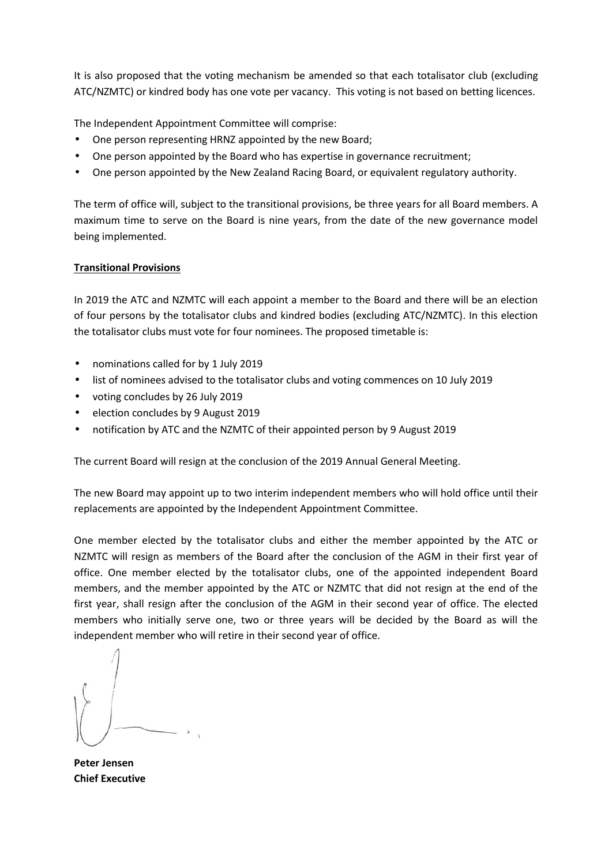It is also proposed that the voting mechanism be amended so that each totalisator club (excluding ATC/NZMTC) or kindred body has one vote per vacancy. This voting is not based on betting licences.

The Independent Appointment Committee will comprise:

- One person representing HRNZ appointed by the new Board;
- One person appointed by the Board who has expertise in governance recruitment;
- One person appointed by the New Zealand Racing Board, or equivalent regulatory authority.

The term of office will, subject to the transitional provisions, be three years for all Board members. A maximum time to serve on the Board is nine years, from the date of the new governance model being implemented.

## **Transitional Provisions**

In 2019 the ATC and NZMTC will each appoint a member to the Board and there will be an election of four persons by the totalisator clubs and kindred bodies (excluding ATC/NZMTC). In this election the totalisator clubs must vote for four nominees. The proposed timetable is:

- nominations called for by 1 July 2019
- list of nominees advised to the totalisator clubs and voting commences on 10 July 2019
- voting concludes by 26 July 2019
- election concludes by 9 August 2019
- notification by ATC and the NZMTC of their appointed person by 9 August 2019

The current Board will resign at the conclusion of the 2019 Annual General Meeting.

The new Board may appoint up to two interim independent members who will hold office until their replacements are appointed by the Independent Appointment Committee.

One member elected by the totalisator clubs and either the member appointed by the ATC or NZMTC will resign as members of the Board after the conclusion of the AGM in their first year of office. One member elected by the totalisator clubs, one of the appointed independent Board members, and the member appointed by the ATC or NZMTC that did not resign at the end of the first year, shall resign after the conclusion of the AGM in their second year of office. The elected members who initially serve one, two or three years will be decided by the Board as will the independent member who will retire in their second year of office.

**Peter Jensen Chief Executive**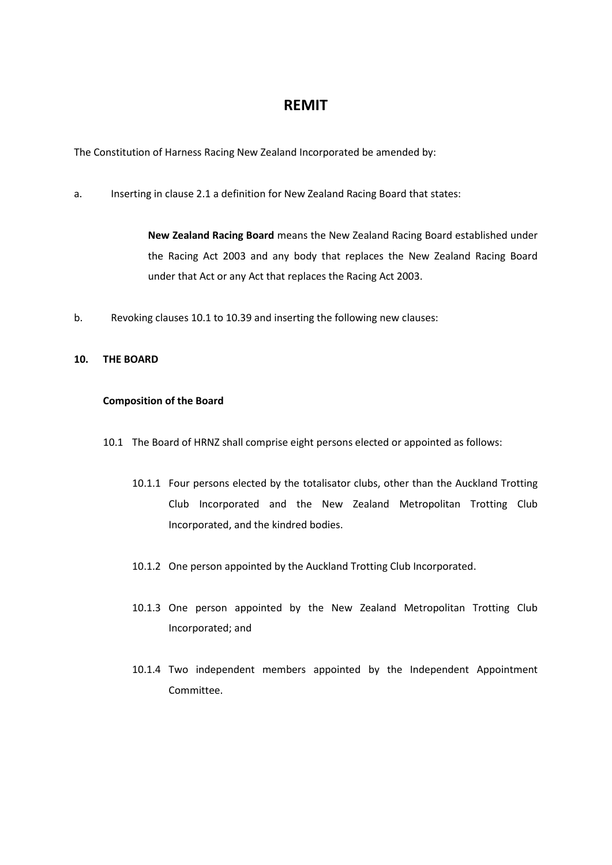# **REMIT**

The Constitution of Harness Racing New Zealand Incorporated be amended by:

a. Inserting in clause 2.1 a definition for New Zealand Racing Board that states:

**New Zealand Racing Board** means the New Zealand Racing Board established under the Racing Act 2003 and any body that replaces the New Zealand Racing Board under that Act or any Act that replaces the Racing Act 2003.

b. Revoking clauses 10.1 to 10.39 and inserting the following new clauses:

## **10. THE BOARD**

### **Composition of the Board**

- 10.1 The Board of HRNZ shall comprise eight persons elected or appointed as follows:
	- 10.1.1 Four persons elected by the totalisator clubs, other than the Auckland Trotting Club Incorporated and the New Zealand Metropolitan Trotting Club Incorporated, and the kindred bodies.
	- 10.1.2 One person appointed by the Auckland Trotting Club Incorporated.
	- 10.1.3 One person appointed by the New Zealand Metropolitan Trotting Club Incorporated; and
	- 10.1.4 Two independent members appointed by the Independent Appointment Committee.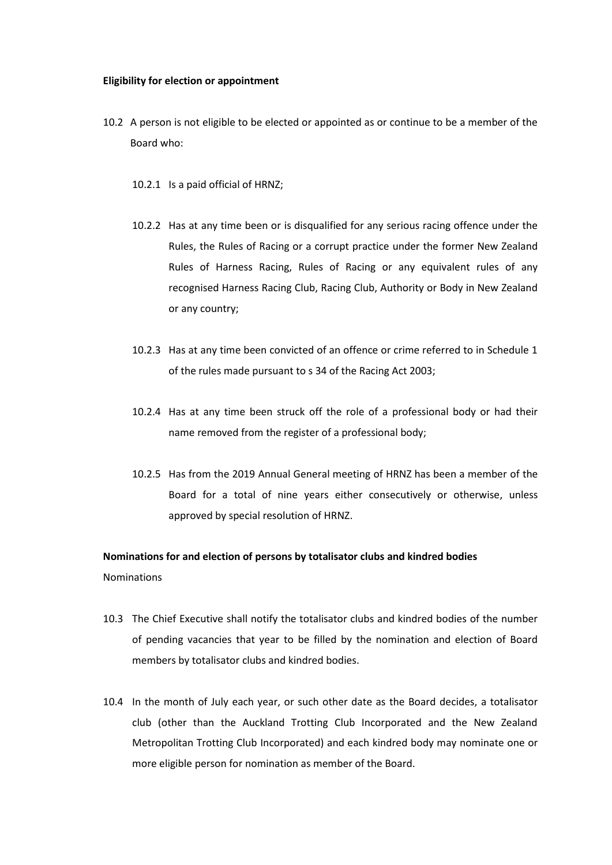### **Eligibility for election or appointment**

- 10.2 A person is not eligible to be elected or appointed as or continue to be a member of the Board who:
	- 10.2.1 Is a paid official of HRNZ;
	- 10.2.2 Has at any time been or is disqualified for any serious racing offence under the Rules, the Rules of Racing or a corrupt practice under the former New Zealand Rules of Harness Racing, Rules of Racing or any equivalent rules of any recognised Harness Racing Club, Racing Club, Authority or Body in New Zealand or any country;
	- 10.2.3 Has at any time been convicted of an offence or crime referred to in Schedule 1 of the rules made pursuant to s 34 of the Racing Act 2003;
	- 10.2.4 Has at any time been struck off the role of a professional body or had their name removed from the register of a professional body;
	- 10.2.5 Has from the 2019 Annual General meeting of HRNZ has been a member of the Board for a total of nine years either consecutively or otherwise, unless approved by special resolution of HRNZ.

## **Nominations for and election of persons by totalisator clubs and kindred bodies** Nominations

- 10.3 The Chief Executive shall notify the totalisator clubs and kindred bodies of the number of pending vacancies that year to be filled by the nomination and election of Board members by totalisator clubs and kindred bodies.
- 10.4 In the month of July each year, or such other date as the Board decides, a totalisator club (other than the Auckland Trotting Club Incorporated and the New Zealand Metropolitan Trotting Club Incorporated) and each kindred body may nominate one or more eligible person for nomination as member of the Board.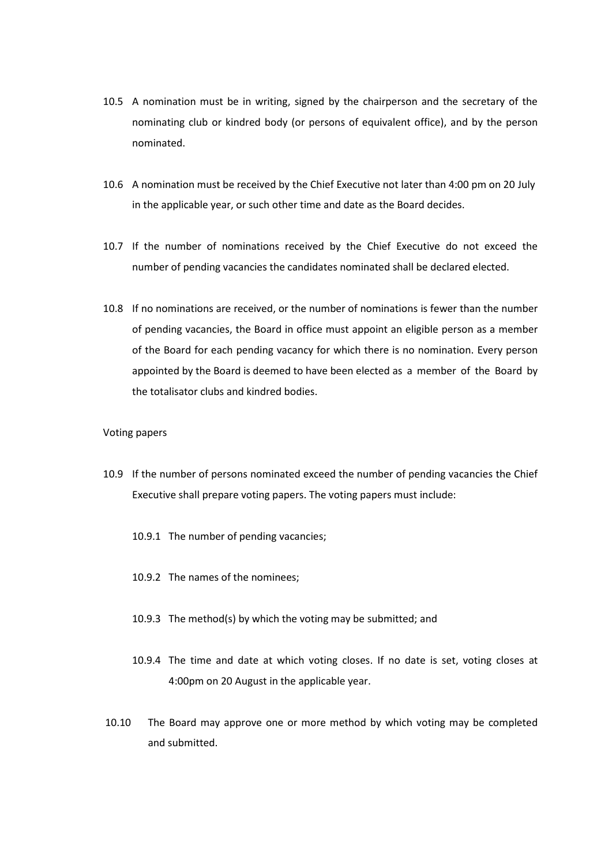- 10.5 A nomination must be in writing, signed by the chairperson and the secretary of the nominating club or kindred body (or persons of equivalent office), and by the person nominated.
- 10.6 A nomination must be received by the Chief Executive not later than 4:00 pm on 20 July in the applicable year, or such other time and date as the Board decides.
- 10.7 If the number of nominations received by the Chief Executive do not exceed the number of pending vacancies the candidates nominated shall be declared elected.
- 10.8 If no nominations are received, or the number of nominations is fewer than the number of pending vacancies, the Board in office must appoint an eligible person as a member of the Board for each pending vacancy for which there is no nomination. Every person appointed by the Board is deemed to have been elected as a member of the Board by the totalisator clubs and kindred bodies.

### Voting papers

- 10.9 If the number of persons nominated exceed the number of pending vacancies the Chief Executive shall prepare voting papers. The voting papers must include:
	- 10.9.1 The number of pending vacancies;
	- 10.9.2 The names of the nominees;
	- 10.9.3 The method(s) by which the voting may be submitted; and
	- 10.9.4 The time and date at which voting closes. If no date is set, voting closes at 4:00pm on 20 August in the applicable year.
- 10.10 The Board may approve one or more method by which voting may be completed and submitted.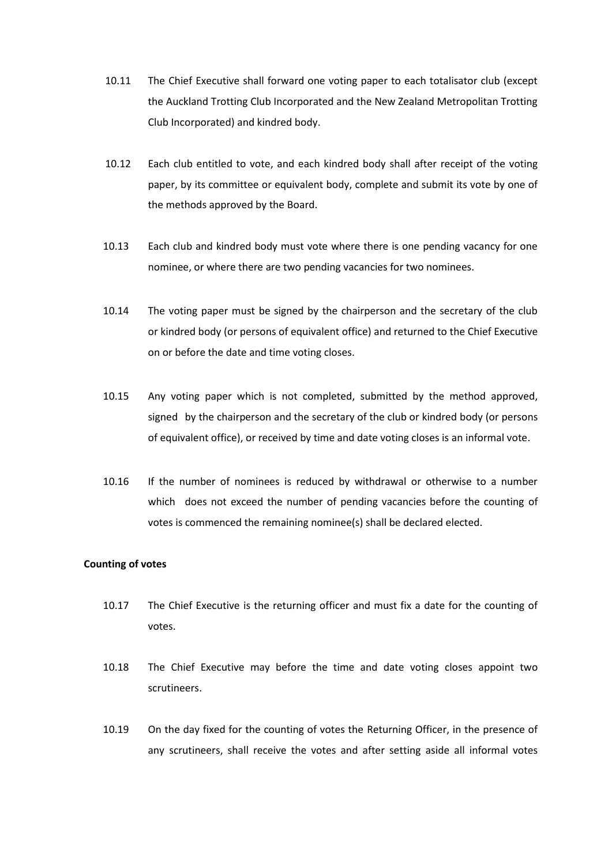- 10.11 The Chief Executive shall forward one voting paper to each totalisator club (except the Auckland Trotting Club Incorporated and the New Zealand Metropolitan Trotting Club Incorporated) and kindred body.
- 10.12 Each club entitled to vote, and each kindred body shall after receipt of the voting paper, by its committee or equivalent body, complete and submit its vote by one of the methods approved by the Board.
- 10.13 Each club and kindred body must vote where there is one pending vacancy for one nominee, or where there are two pending vacancies for two nominees.
- 10.14 The voting paper must be signed by the chairperson and the secretary of the club or kindred body (or persons of equivalent office) and returned to the Chief Executive on or before the date and time voting closes.
- 10.15 Any voting paper which is not completed, submitted by the method approved, signed by the chairperson and the secretary of the club or kindred body (or persons of equivalent office), or received by time and date voting closes is an informal vote.
- 10.16 If the number of nominees is reduced by withdrawal or otherwise to a number which does not exceed the number of pending vacancies before the counting of votes is commenced the remaining nominee(s) shall be declared elected.

### **Counting of votes**

- 10.17 The Chief Executive is the returning officer and must fix a date for the counting of votes.
- 10.18 The Chief Executive may before the time and date voting closes appoint two scrutineers.
- 10.19 On the day fixed for the counting of votes the Returning Officer, in the presence of any scrutineers, shall receive the votes and after setting aside all informal votes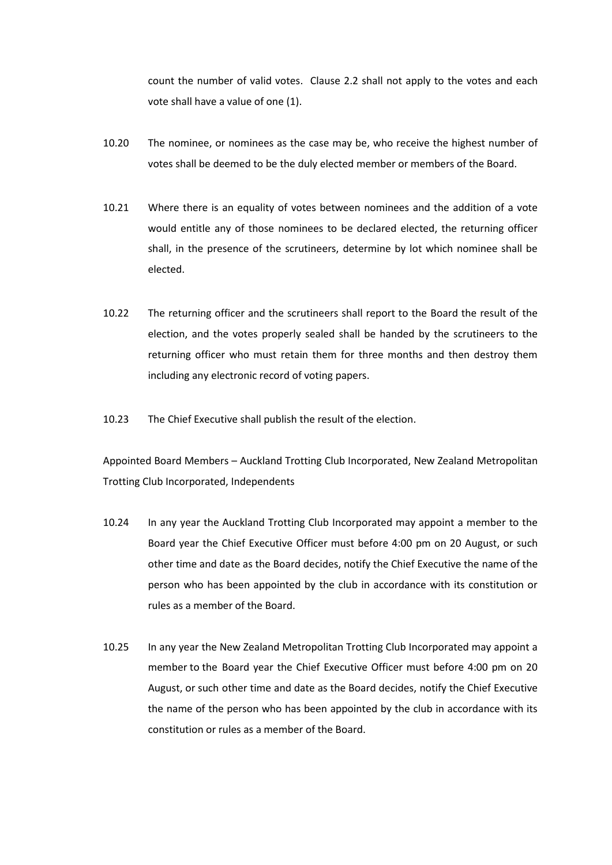count the number of valid votes. Clause 2.2 shall not apply to the votes and each vote shall have a value of one (1).

- 10.20 The nominee, or nominees as the case may be, who receive the highest number of votes shall be deemed to be the duly elected member or members of the Board.
- 10.21 Where there is an equality of votes between nominees and the addition of a vote would entitle any of those nominees to be declared elected, the returning officer shall, in the presence of the scrutineers, determine by lot which nominee shall be elected.
- 10.22 The returning officer and the scrutineers shall report to the Board the result of the election, and the votes properly sealed shall be handed by the scrutineers to the returning officer who must retain them for three months and then destroy them including any electronic record of voting papers.
- 10.23 The Chief Executive shall publish the result of the election.

Appointed Board Members – Auckland Trotting Club Incorporated, New Zealand Metropolitan Trotting Club Incorporated, Independents

- 10.24 In any year the Auckland Trotting Club Incorporated may appoint a member to the Board year the Chief Executive Officer must before 4:00 pm on 20 August, or such other time and date as the Board decides, notify the Chief Executive the name of the person who has been appointed by the club in accordance with its constitution or rules as a member of the Board.
- 10.25 In any year the New Zealand Metropolitan Trotting Club Incorporated may appoint a member to the Board year the Chief Executive Officer must before 4:00 pm on 20 August, or such other time and date as the Board decides, notify the Chief Executive the name of the person who has been appointed by the club in accordance with its constitution or rules as a member of the Board.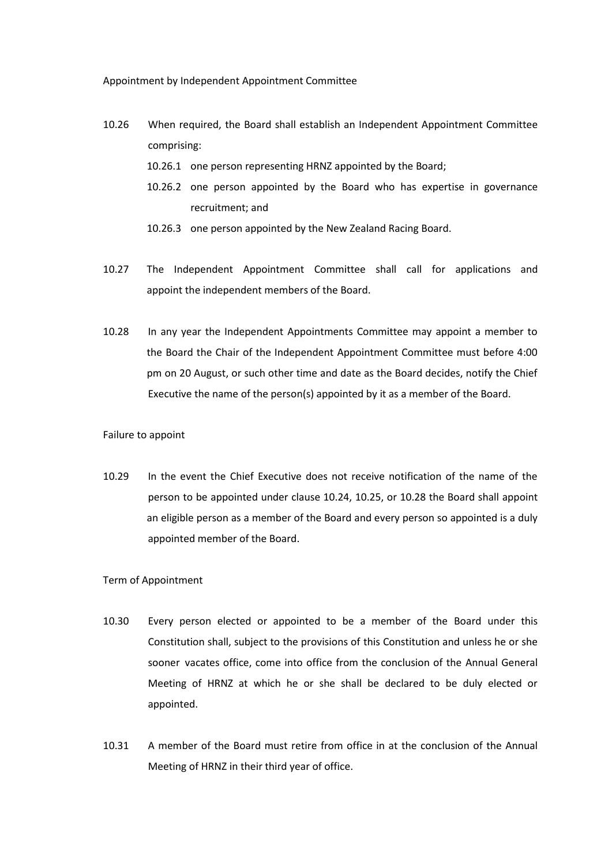Appointment by Independent Appointment Committee

- 10.26 When required, the Board shall establish an Independent Appointment Committee comprising:
	- 10.26.1 one person representing HRNZ appointed by the Board;
	- 10.26.2 one person appointed by the Board who has expertise in governance recruitment; and
	- 10.26.3 one person appointed by the New Zealand Racing Board.
- 10.27 The Independent Appointment Committee shall call for applications and appoint the independent members of the Board.
- 10.28 In any year the Independent Appointments Committee may appoint a member to the Board the Chair of the Independent Appointment Committee must before 4:00 pm on 20 August, or such other time and date as the Board decides, notify the Chief Executive the name of the person(s) appointed by it as a member of the Board.

### Failure to appoint

10.29 In the event the Chief Executive does not receive notification of the name of the person to be appointed under clause 10.24, 10.25, or 10.28 the Board shall appoint an eligible person as a member of the Board and every person so appointed is a duly appointed member of the Board.

### Term of Appointment

- 10.30 Every person elected or appointed to be a member of the Board under this Constitution shall, subject to the provisions of this Constitution and unless he or she sooner vacates office, come into office from the conclusion of the Annual General Meeting of HRNZ at which he or she shall be declared to be duly elected or appointed.
- 10.31 A member of the Board must retire from office in at the conclusion of the Annual Meeting of HRNZ in their third year of office.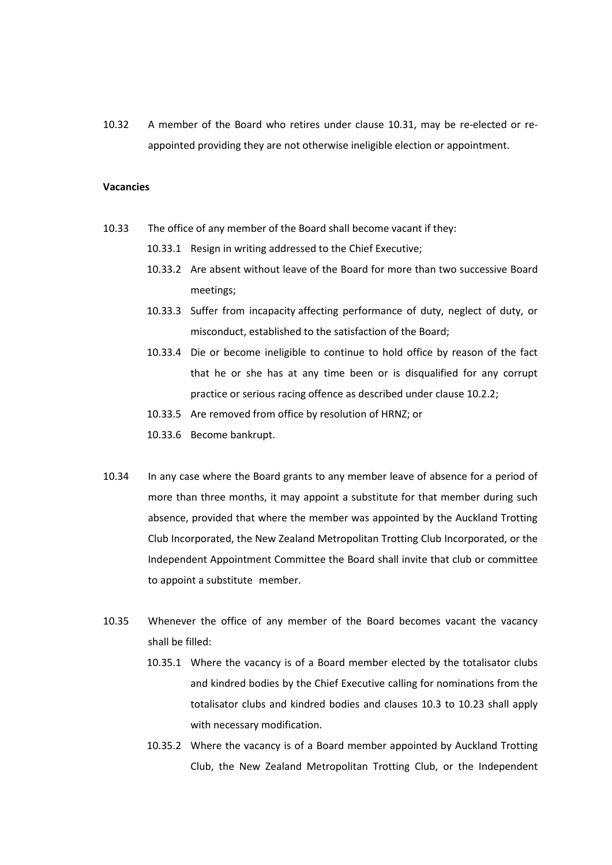10.32 A member of the Board who retires under clause 10.31, may be re-elected or re appointed providing they are not otherwise ineligible election or appointment.

#### **Vacancies**

- 10.33 The office of any member of the Board shall become vacant if they:
	- 10.33.1 Resign in writing addressed to the Chief Executive;
	- 10.33.2 Are absent without leave of the Board for more than two successive Board meetings;
	- 10.33.3 Suffer from incapacity affecting performance of duty, neglect of duty, or misconduct, established to the satisfaction of the Board;
	- 10.33.4 Die or become ineligible to continue to hold office by reason of the fact that he or she has at any time been or is disqualified for any corrupt practice or serious racing offence as described under clause 10.2.2;
	- 10.33.5 Are removed from office by resolution of HRNZ; or
	- 10.33.6 Become bankrupt.
- 10.34 In any case where the Board grants to any member leave of absence for a period of more than three months, it may appoint a substitute for that member during such absence, provided that where the member was appointed by the Auckland Trotting Club Incorporated, the New Zealand Metropolitan Trotting Club Incorporated, or the Independent Appointment Committee the Board shallinvite that club or committee to appoint a substitute member.
- 10.35 Whenever the office of any member of the Board becomes vacant the vacancy shall be filled:
	- 10.35.1 Where the vacancy is of a Board member elected by the totalisator clubs and kindred bodies by the Chief Executive calling for nominations from the totalisator clubs and kindred bodies and clauses 10.3 to 10.23 shall apply with necessary modification.
	- 10.35.2 Where the vacancy is of a Board member appointed by Auckland Trotting Club, the New Zealand Metropolitan Trotting Club, or the Independent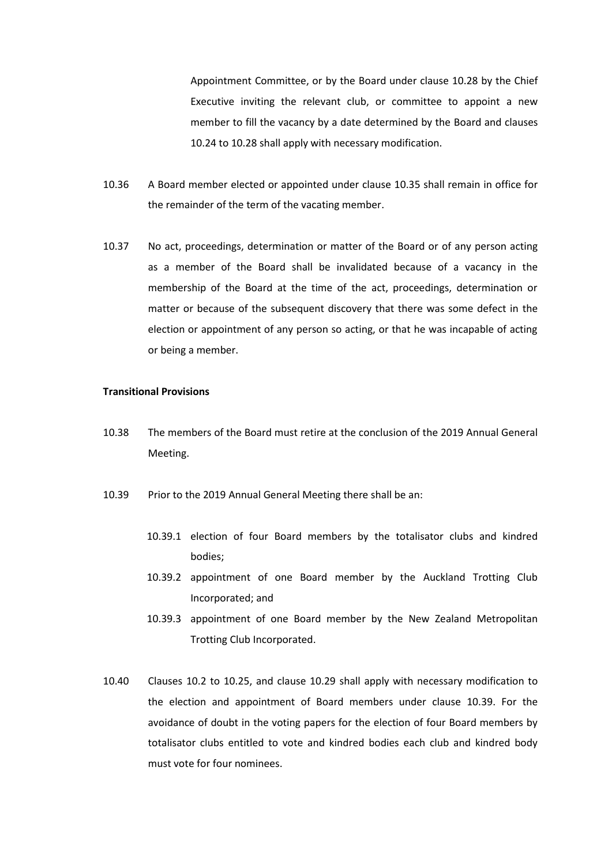Appointment Committee, or by the Board under clause 10.28 by the Chief Executive inviting the relevant club, or committee to appoint a new member to fill the vacancy by a date determined by the Board and clauses 10.24 to 10.28 shall apply with necessary modification.

- 10.36 A Board member elected or appointed under clause 10.35 shall remain in office for the remainder of the term of the vacating member.
- 10.37 No act, proceedings, determination or matter of the Board or of any person acting as a member of the Board shall be invalidated because of a vacancy in the membership of the Board at the time of the act, proceedings, determination or matter or because of the subsequent discovery that there was some defect in the election or appointment of any person so acting, or that he was incapable of acting or being a member.

### **Transitional Provisions**

- 10.38 The members of the Board must retire at the conclusion of the 2019 Annual General Meeting.
- 10.39 Prior to the 2019 Annual General Meeting there shall be an:
	- 10.39.1 election of four Board members by the totalisator clubs and kindred bodies;
	- 10.39.2 appointment of one Board member by the Auckland Trotting Club Incorporated; and
	- 10.39.3 appointment of one Board member by the New Zealand Metropolitan Trotting Club Incorporated.
- 10.40 Clauses 10.2 to 10.25, and clause 10.29 shall apply with necessary modification to the election and appointment of Board members under clause 10.39. For the avoidance of doubt in the voting papers for the election of four Board members by totalisator clubs entitled to vote and kindred bodies each club and kindred body must vote for four nominees.